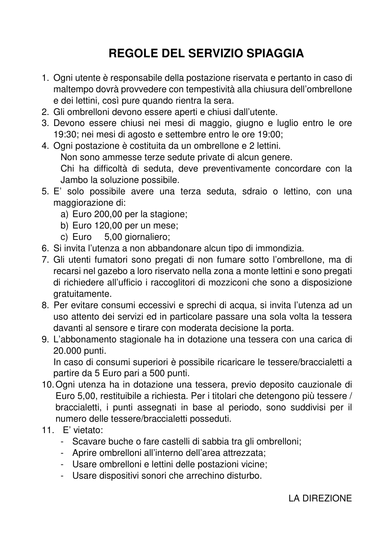## **REGOLE DEL SERVIZIO SPIAGGIA**

- 1. Ogni utente è responsabile della postazione riservata e pertanto in caso di maltempo dovrà provvedere con tempestività alla chiusura dell'ombrellone e dei lettini, così pure quando rientra la sera.
- 2. Gli ombrelloni devono essere aperti e chiusi dall'utente.
- 3. Devono essere chiusi nei mesi di maggio, giugno e luglio entro le ore 19:30; nei mesi di agosto e settembre entro le ore 19:00;
- 4. Ogni postazione è costituita da un ombrellone e 2 lettini. Non sono ammesse terze sedute private di alcun genere. Chi ha difficoltà di seduta, deve preventivamente concordare con la Jambo la soluzione possibile.
- 5. E' solo possibile avere una terza seduta, sdraio o lettino, con una maggiorazione di:
	- a) Euro 200,00 per la stagione;
	- b) Euro 120,00 per un mese;
	- c) Euro 5,00 giornaliero;
- 6. Si invita l'utenza a non abbandonare alcun tipo di immondizia.
- 7. Gli utenti fumatori sono pregati di non fumare sotto l'ombrellone, ma di recarsi nel gazebo a loro riservato nella zona a monte lettini e sono pregati di richiedere all'ufficio i raccoglitori di mozziconi che sono a disposizione gratuitamente.
- 8. Per evitare consumi eccessivi e sprechi di acqua, si invita l'utenza ad un uso attento dei servizi ed in particolare passare una sola volta la tessera davanti al sensore e tirare con moderata decisione la porta.
- 9. L'abbonamento stagionale ha in dotazione una tessera con una carica di 20.000 punti.

In caso di consumi superiori è possibile ricaricare le tessere/braccialetti a partire da 5 Euro pari a 500 punti.

- 10. Ogni utenza ha in dotazione una tessera, previo deposito cauzionale di Euro 5,00, restituibile a richiesta. Per i titolari che detengono più tessere / braccialetti, i punti assegnati in base al periodo, sono suddivisi per il numero delle tessere/braccialetti posseduti.
- 11. E' vietato:
	- Scavare buche o fare castelli di sabbia tra gli ombrelloni;
	- Aprire ombrelloni all'interno dell'area attrezzata;
	- Usare ombrelloni e lettini delle postazioni vicine;
	- Usare dispositivi sonori che arrechino disturbo.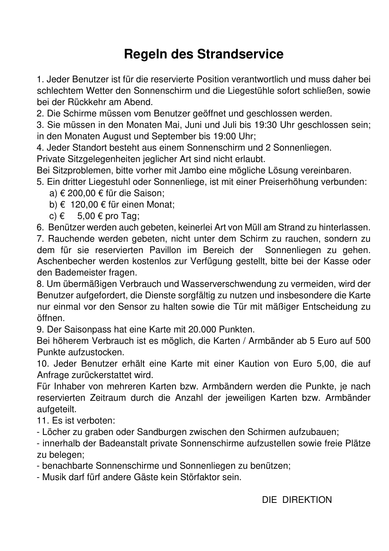## **Regeln des Strandservice**

1. Jeder Benutzer ist für die reservierte Position verantwortlich und muss daher bei schlechtem Wetter den Sonnenschirm und die Liegestühle sofort schließen, sowie bei der Rückkehr am Abend.

2. Die Schirme müssen vom Benutzer geöffnet und geschlossen werden.

3. Sie müssen in den Monaten Mai, Juni und Juli bis 19:30 Uhr geschlossen sein; in den Monaten August und September bis 19:00 Uhr;

4. Jeder Standort besteht aus einem Sonnenschirm und 2 Sonnenliegen.

Private Sitzgelegenheiten jeglicher Art sind nicht erlaubt.

Bei Sitzproblemen, bitte vorher mit Jambo eine mögliche Lösung vereinbaren.

5. Ein dritter Liegestuhl oder Sonnenliege, ist mit einer Preiserhöhung verbunden:

a) € 200,00 € für die Saison;

b) € 120,00 € für einen Monat;

c)  $\epsilon$  5,00  $\epsilon$  pro Tag;

6. Benützer werden auch gebeten, keinerlei Art von Müll am Strand zu hinterlassen. 7. Rauchende werden gebeten, nicht unter dem Schirm zu rauchen, sondern zu dem für sie reservierten Pavillon im Bereich der Sonnenliegen zu gehen. Aschenbecher werden kostenlos zur Verfügung gestellt, bitte bei der Kasse oder den Bademeister fragen.

8. Um übermäßigen Verbrauch und Wasserverschwendung zu vermeiden, wird der Benutzer aufgefordert, die Dienste sorgfältig zu nutzen und insbesondere die Karte nur einmal vor den Sensor zu halten sowie die Tür mit mäßiger Entscheidung zu öffnen.

9. Der Saisonpass hat eine Karte mit 20.000 Punkten.

Bei höherem Verbrauch ist es möglich, die Karten / Armbänder ab 5 Euro auf 500 Punkte aufzustocken.

10. Jeder Benutzer erhält eine Karte mit einer Kaution von Euro 5,00, die auf Anfrage zurückerstattet wird.

Für Inhaber von mehreren Karten bzw. Armbändern werden die Punkte, je nach reservierten Zeitraum durch die Anzahl der jeweiligen Karten bzw. Armbänder aufgeteilt.

11. Es ist verboten:

- Löcher zu graben oder Sandburgen zwischen den Schirmen aufzubauen;

- innerhalb der Badeanstalt private Sonnenschirme aufzustellen sowie freie Plätze zu belegen;

- benachbarte Sonnenschirme und Sonnenliegen zu benützen;

- Musik darf fürf andere Gäste kein Störfaktor sein.